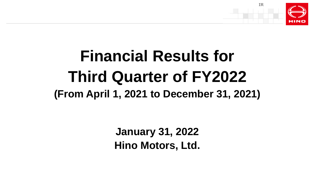

# **Financial Results for Third Quarter of FY2022 (From April 1, 2021 to December 31, 2021)**

**January 31, 2022 Hino Motors, Ltd.**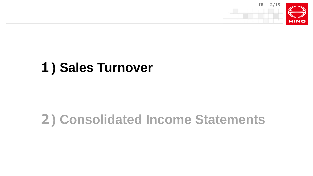

# **) Sales Turnover**

# **) Consolidated Income Statements**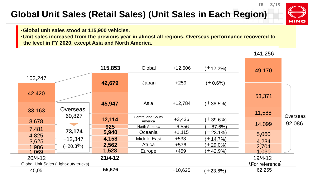## **Global Unit Sales (Retail Sales) (Unit Sales in Each Region)**

**・Global unit sales stood at 115,900 vehicles.** 

**・Unit sales increased from the previous year in almost all regions. Overseas performance recovered to the level in FY 2020, except Asia and North America.**

| 49,170<br>103,247<br>42,679<br>$+259$<br>Japan<br>$(+0.6%)$                      |          |
|----------------------------------------------------------------------------------|----------|
|                                                                                  |          |
| 42,420<br>53,371                                                                 |          |
| $+12,784$<br>45,947<br>Asia<br>$(+38.5%)$<br><b>Overseas</b><br>33,163           |          |
| 11,588<br>60,827<br><b>Central and South</b>                                     | Overseas |
| 12,114<br>$+3,436$<br>$(+39.6%)$<br>8,678<br>America<br>14,099                   | 92,086   |
| $-6,556$<br>925<br>$-87.6%$<br>North America<br>7,481                            |          |
| 73,174<br>5,940<br>$+1,115$<br>Oceania<br>$(+23.1\%)$<br>5,060<br>4,825          |          |
| 4,158<br><b>Middle East</b><br>$+533$<br>$+12,347$<br>$+14.7%$<br>4,234<br>3,625 |          |
| Africa<br>2,562<br>$+576$<br>$+29.0\%$<br>$(+20.3\%)$<br>2,704<br>1,986          |          |
| 1,528<br>$+459$<br>$+42.9%$<br>Europe<br>1,030<br>1,069                          |          |
| $21/4 - 12$<br>$20/4 - 12$<br>19/4-12                                            |          |
| (For reference)<br>Global Unit Sales (Light-duty trucks)                         |          |
| 55,676<br>$+10,625$<br>62,255<br>45,051<br>$(+23.6%)$                            |          |

141,256

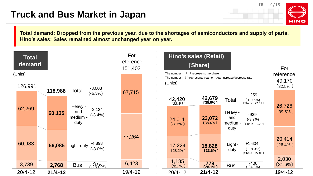#### **Truck and Bus Market in Japan**

**IR 4/19**



**Total demand: Dropped from the previous year, due to the shortages of semiconductors and supply of parts. Hino's sales: Sales remained almost unchanged year on year.** 

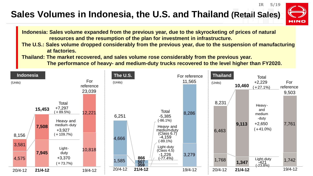## **Sales Volumes in Indonesia, the U.S. and Thailand (Retail Sales)**



**IR 5/19**

**Indonesia: Sales volume expanded from the previous year, due to the skyrocketing of prices of natural resources and the resumption of the plan for investment in infrastructure.**

**The U.S.: Sales volume dropped considerably from the previous year, due to the suspension of manufacturing at factories.**

**Thailand: The market recovered, and sales volume rose considerably from the previous year.**

**The performance of heavy- and medium-duty trucks recovered to the level higher than FY2020.**

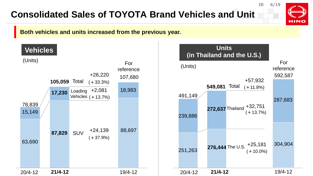## **Consolidated Sales of TOYOTA Brand Vehicles and Unit**



**IR 6/19**

#### **Both vehicles and units increased from the previous year.**



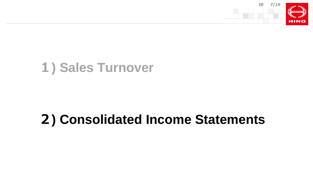

# **) Sales Turnover**

# **) Consolidated Income Statements**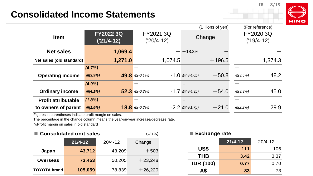#### **IR 8/19**

#### **Consolidated Income Statements**

| IN |  |
|----|--|

|                            |                                  |                                   | (Billions of yen)                | (For reference)           |
|----------------------------|----------------------------------|-----------------------------------|----------------------------------|---------------------------|
| <b>Item</b>                | <b>FY2022 3Q</b><br>$('21/4-12)$ | FY2021 3Q<br>('20/4-12)           | Change                           | FY2020 3Q<br>$('19/4-12)$ |
| <b>Net sales</b>           | 1,069.4                          | $\overline{\phantom{m}}$          | $+18.3%$                         |                           |
| Net sales (old standard)   | 1,271.0                          | 1,074.5                           | $+196.5$                         | 1,374.3                   |
|                            | (4.7%)                           |                                   |                                  |                           |
| <b>Operating income</b>    | $X(3.9\%)$                       | 49.8 $\mathcal{K}(-0.1\%)$        | $+50.8$<br>$-1.0 \times (+4.0p)$ | 48.2<br>X(3.5%)           |
|                            | (4.9%)                           |                                   |                                  |                           |
| <b>Ordinary income</b>     | $X(4.1\%)$                       | $52.3$ $\mathcal{X}(-0.2\%)$      | $+54.0$<br>$-1.7 \times (+4.3p)$ | 45.0<br>X(3.3%)           |
| <b>Profit attributable</b> | $(1.8\%)$                        |                                   |                                  |                           |
| to owners of parent        | X(1.5%)                          | <b>18.8</b> $\mathcal{K}(-0.2\%)$ | $-2.2 \times (+1.7p)$<br>$+21.0$ | 29.9<br>$X(2.2\%)$        |

Figures in parentheses indicate profit margin on sales.

The percentage in the change column means the year-on-year increase/decrease rate.

※Profit margin on sales in old standard

| ■ Consolidated unit sales<br>(Units) |             |             |           |                  |             | $\blacksquare$ Exchange rate |  |  |
|--------------------------------------|-------------|-------------|-----------|------------------|-------------|------------------------------|--|--|
|                                      | $21/4 - 12$ | $20/4 - 12$ | Change    |                  | $21/4 - 12$ | $20/4 - 12$                  |  |  |
| Japan                                | 43,712      | 43,209      | $+503$    | <b>US\$</b>      | 111         | 106                          |  |  |
|                                      |             |             |           | <b>THB</b>       | 3.42        | 3.37                         |  |  |
| <b>Overseas</b>                      | 73,453      | 50,205      | $+23,248$ | <b>IDR (100)</b> | 0.77        | 0.70                         |  |  |
| <b>TOYOTA brand</b>                  | 105,059     | 78,839      | $+26,220$ | А\$              | 83          | 73                           |  |  |

#### **■ Exchange rate**

|                  | $21/4 - 12$ | $20/4 - 12$ |
|------------------|-------------|-------------|
| US\$             | 111         | 106         |
| <b>THB</b>       | 3.42        | 3.37        |
| <b>IDR (100)</b> | 0.77        | 0.70        |
|                  | 83          | 73          |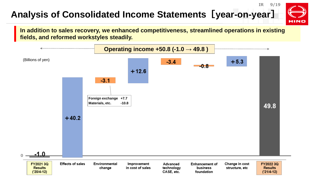## **Analysis of Consolidated Income Statements[year-on-year]**



**In addition to sales recovery, we enhanced competitiveness, streamlined operations in existing fields, and reformed workstyles steadily.**

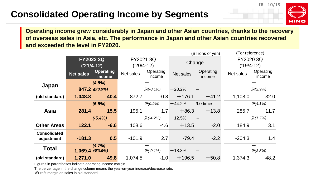## **Consolidated Operating Income by Segments**

**IR 10/19**



**Operating income grew considerably in Japan and other Asian countries, thanks to the recovery of overseas sales in Asia, etc. The performance in Japan and other Asian countries recovered and exceeded the level in FY2020.**

|                     | (For reference)<br>(Billions of yen) |                              |           |                     |           |                     |              |                     |
|---------------------|--------------------------------------|------------------------------|-----------|---------------------|-----------|---------------------|--------------|---------------------|
|                     | <b>FY2022 3Q</b>                     |                              | FY2021 3Q |                     | Change    |                     | FY2020 3Q    |                     |
|                     |                                      | $('21/4-12)$                 |           | $('20/4-12)$        |           |                     | $('19/4-12)$ |                     |
|                     | <b>Net sales</b>                     | <b>Operating</b><br>income   | Net sales | Operating<br>income | Net sales | Operating<br>income | Net sales    | Operating<br>income |
| Japan               |                                      | $(4.8\%)$                    |           |                     |           |                     |              |                     |
|                     |                                      | $847.2$ $\mathcal{X}(3.9\%)$ |           | $X(-0.1\%)$         | $+20.2%$  |                     |              | $X(2.9\%)$          |
| (old standard)      | 1,048.8                              | 40.4                         | 872.7     | $-0.8$              | $+176.1$  | $+41.2$             | 1,108.0      | 32.0                |
|                     |                                      | (5.5%)                       |           | $X(0.9\%)$          | $+44.2%$  | 9.0 times           |              | $X(4.1\%)$          |
| <b>Asia</b>         | 281.4                                | 15.5                         | 195.1     | 1.7 <sub>1</sub>    | $+86.3$   | $+13.8$             | 285.7        | 11.7                |
|                     |                                      | $(-5.4%)$                    |           | $X(-4.2\%)$         | $+12.5%$  |                     |              | X(1.7%)             |
| <b>Other Areas</b>  | 122.1                                | $-6.6$                       | 108.6     | $-4.6$              | $+13.5$   | $-2.0$              | 184.9        | 3.1                 |
| <b>Consolidated</b> | $-181.3$                             | 0.5                          | $-101.9$  | 2.7                 | $-79.4$   | $-2.2$              | $-204.3$     | 1.4                 |
| adjustment          |                                      |                              |           |                     |           |                     |              |                     |
| <b>Total</b>        | $1,069.4 \times (3.9\%)$             | (4.7%)                       |           | $X(-0.1\%)$         | $+18.3%$  |                     |              | X(3.5%)             |
| (old standard)      | 1,271.0                              | 49.8                         | 1,074.5   | $-1.0$              | $+196.5$  | $+50.8$             | 1,374.3      | 48.2                |

Figures in parentheses indicate operating income margin.

The percentage in the change column means the year-on-year increase/decrease rate. ※Profit margin on sales in old standard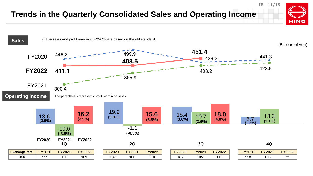#### **Trends in the Quarterly Consolidated Sales and Operating Income**



**IR 11/19**

**HINO**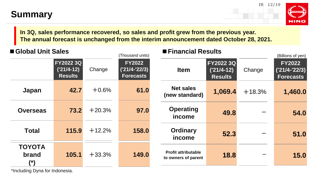## **Summary**



**In 3Q, sales performance recovered, so sales and profit grew from the previous year. The annual forecast is unchanged from the interim announcement dated October 28, 2021.**

| Global Unit Sales             |                                             |          | (Thousand units)                                     | <b>Financial Results</b>                          |                                                    |          | (Billions of yen)                                    |
|-------------------------------|---------------------------------------------|----------|------------------------------------------------------|---------------------------------------------------|----------------------------------------------------|----------|------------------------------------------------------|
|                               | FY2022 3Q<br>$('21/4-12)$<br><b>Results</b> | Change   | <b>FY2022</b><br>$('21/4-'22/3)$<br><b>Forecasts</b> | <b>Item</b>                                       | <b>FY2022 3Q</b><br>$('21/4-12)$<br><b>Results</b> | Change   | <b>FY2022</b><br>$('21/4-'22/3)$<br><b>Forecasts</b> |
| <b>Japan</b>                  | 42.7                                        | $+0.6%$  | 61.0                                                 | <b>Net sales</b><br>(new standard)                | 1,069.4                                            | $+18.3%$ | 1,460.0                                              |
| <b>Overseas</b>               | 73.2                                        | $+20.3%$ | 97.0                                                 | <b>Operating</b><br>income                        | 49.8                                               |          | 54.0                                                 |
| <b>Total</b>                  | 115.9                                       | $+12.2%$ | 158.0                                                | <b>Ordinary</b><br>income                         | 52.3                                               |          | 51.0                                                 |
| <b>TOYOTA</b><br>brand<br>(*) | 105.1                                       | $+33.3%$ | 149.0                                                | <b>Profit attributable</b><br>to owners of parent | 18.8                                               |          | 15.0                                                 |

\*Including Dyna for Indonesia.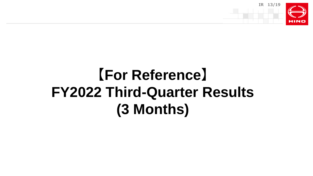

# **【For Reference】 FY2022 Third-Quarter Results (3 Months)**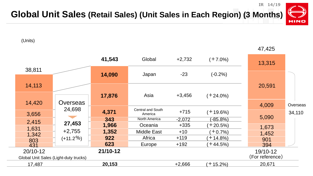

**Global Unit Sales (Retail Sales) (Unit Sales in Each Region) (3 Months)**

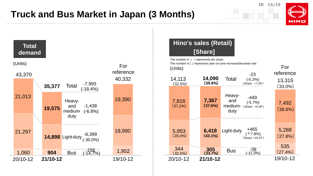## **Truck and Bus Market in Japan (3 Months)**







#### **Hino's sales (Retail) [Share]**

-449 -23 +465 -39 14,113 7,816 344 5,953 **7,367 14,090 6,418 305** Heavyand medium- (Share +0.4P) duty Light-duty **Bus** 〔37.2%〕 〔32.5%〕 〔28.0%〕 **〔37.6%〕 〔43.1%〕 〔33.7%〕** (-5.7%) (-0.2%) (+7.8%) (-11.3%) 〔32.5%〕 **〔39.8%〕 Total** 20/10-12 **21/10-12** 〔Share +7.3P〕 For reference  $(27.4\%)$ 7,492 13,315 5,288 535 19/10-12 〔38.6%〕 〔27.8%〕 〔33.0%〕 (Units) The number in  $\int$  ] represents the share The number in ( ) represents year-on-year increase/decrease rate 〔Share +15.1P 〕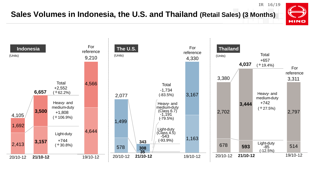#### **Sales Volumes in Indonesia, the U.S. and Thailand (Retail Sales) (3 Months)**



**IR 16/19**

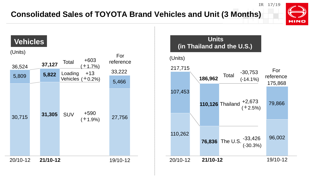#### **Consolidated Sales of TOYOTA Brand Vehicles and Unit (3 Months)**



**IR 17/19**



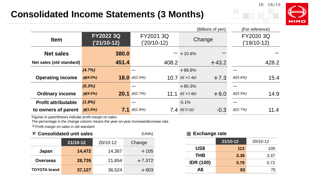### **Consolidated Income Statements (3 Months)**

**IR 18/19**



| (For reference)<br>(Billions of yen) |                                 |                                  |                                     |                            |
|--------------------------------------|---------------------------------|----------------------------------|-------------------------------------|----------------------------|
| <b>Item</b>                          | <b>FY2022 3Q</b><br>('21/10-12) | FY2021 3Q<br>('20/10-12)         | Change                              | FY2020 3Q<br>$('19/10-12)$ |
| <b>Net sales</b>                     | 380.0                           |                                  | $-+10.6%$                           |                            |
| Net sales (old standard)             | 451.4                           | 408.2                            | $+43.2$                             | 428.2                      |
|                                      | (4.7%)                          |                                  | $+68.8%$                            |                            |
| <b>Operating income</b>              | $X(4.0\%)$                      | <b>18.0</b> $\mathcal{K}(2.6\%)$ | $+7.3$<br>10.7 $\mathcal{X}(+1.4p)$ | 15.4<br>X(3.6%)            |
|                                      | (5.3%)                          |                                  | $+80.3%$                            |                            |
| <b>Ordinary income</b>               | X(4.5%)                         | <b>20.1</b> $\mathcal{K}(2.7\%)$ | 11.1 $\mathcal{X}(+1.8p)$<br>$+9.0$ | 14.9<br>X(3.5%)            |
| <b>Profit attributable</b>           | $(1.9\%)$                       |                                  | $-5.1%$                             |                            |
| to owners of parent                  | $\frac{1}{2}(1.6\%)$            | <b>7.1</b> $\mathcal{K}(1.8\%)$  | $7.4 \times (-0.2p)$<br>$-0.3$      | 11.4<br>X(2.7%)            |

Figures in parentheses indicate profit margin on sales.

The percentage in the change column means the year-on-year increase/decrease rate.

※Profit margin on sales in old standard

#### ■ **Consolidated unit sales** (Units)

|                     | 21/10-12 | 20/10-12 | Change   |
|---------------------|----------|----------|----------|
| Japan               | 14,472   | 14,367   | $+105$   |
| <b>Overseas</b>     | 28,726   | 21,654   | $+7,072$ |
| <b>TOYOTA brand</b> | 37,127   | 36,524   | $+603$   |

#### **■ Exchange rate**

|                  | 21/10-12 | 20/10-12 |
|------------------|----------|----------|
| US\$             | 113      | 105      |
| <b>THB</b>       | 3.38     | 3.37     |
| <b>IDR (100)</b> | 0.79     | 0.72     |
| A\$              | 83       | 75       |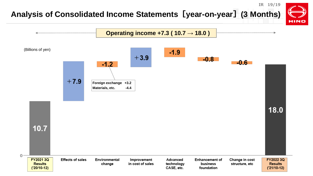#### **Analysis of Consolidated Income Statements[year-on-year](3 Months)**

**IR 19/19**